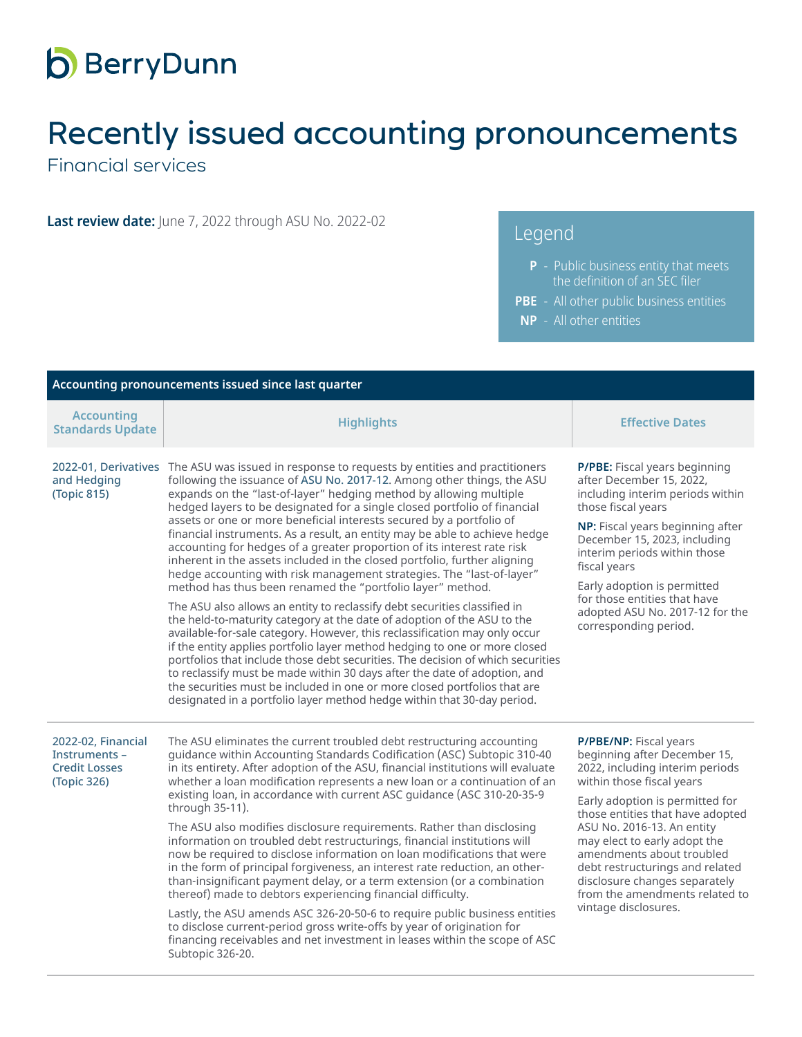## **b** BerryDunn

## Recently issued accounting pronouncements

Financial services

**Last review date:** June 7, 2022 through ASU No. 2022-02

## Legend

- **P** Public business entity that meets the definition of an SEC filer
- **PBE** All other public business entities
- **NP** All other entities

| Accounting pronouncements issued since last quarter                        |                                                                                                                                                                                                                                                                                                                                                                                                                                                                                                                                                                                                                                                                                                                                                                                                                                                                                                                                                                                                                                                                                                                                                                                                                                                                                                                                                                                                                             |                                                                                                                                                                                                                                                                                                                                                                                                                        |  |  |
|----------------------------------------------------------------------------|-----------------------------------------------------------------------------------------------------------------------------------------------------------------------------------------------------------------------------------------------------------------------------------------------------------------------------------------------------------------------------------------------------------------------------------------------------------------------------------------------------------------------------------------------------------------------------------------------------------------------------------------------------------------------------------------------------------------------------------------------------------------------------------------------------------------------------------------------------------------------------------------------------------------------------------------------------------------------------------------------------------------------------------------------------------------------------------------------------------------------------------------------------------------------------------------------------------------------------------------------------------------------------------------------------------------------------------------------------------------------------------------------------------------------------|------------------------------------------------------------------------------------------------------------------------------------------------------------------------------------------------------------------------------------------------------------------------------------------------------------------------------------------------------------------------------------------------------------------------|--|--|
| <b>Accounting</b><br><b>Standards Update</b>                               | <b>Highlights</b>                                                                                                                                                                                                                                                                                                                                                                                                                                                                                                                                                                                                                                                                                                                                                                                                                                                                                                                                                                                                                                                                                                                                                                                                                                                                                                                                                                                                           | <b>Effective Dates</b>                                                                                                                                                                                                                                                                                                                                                                                                 |  |  |
| and Hedging<br>(Topic 815)                                                 | 2022-01, Derivatives The ASU was issued in response to requests by entities and practitioners<br>following the issuance of ASU No. 2017-12. Among other things, the ASU<br>expands on the "last-of-layer" hedging method by allowing multiple<br>hedged layers to be designated for a single closed portfolio of financial<br>assets or one or more beneficial interests secured by a portfolio of<br>financial instruments. As a result, an entity may be able to achieve hedge<br>accounting for hedges of a greater proportion of its interest rate risk<br>inherent in the assets included in the closed portfolio, further aligning<br>hedge accounting with risk management strategies. The "last-of-layer"<br>method has thus been renamed the "portfolio layer" method.<br>The ASU also allows an entity to reclassify debt securities classified in<br>the held-to-maturity category at the date of adoption of the ASU to the<br>available-for-sale category. However, this reclassification may only occur<br>if the entity applies portfolio layer method hedging to one or more closed<br>portfolios that include those debt securities. The decision of which securities<br>to reclassify must be made within 30 days after the date of adoption, and<br>the securities must be included in one or more closed portfolios that are<br>designated in a portfolio layer method hedge within that 30-day period. | P/PBE: Fiscal years beginning<br>after December 15, 2022,<br>including interim periods within<br>those fiscal years<br>NP: Fiscal years beginning after<br>December 15, 2023, including<br>interim periods within those<br>fiscal years<br>Early adoption is permitted<br>for those entities that have<br>adopted ASU No. 2017-12 for the<br>corresponding period.                                                     |  |  |
| 2022-02, Financial<br>Instruments -<br><b>Credit Losses</b><br>(Topic 326) | The ASU eliminates the current troubled debt restructuring accounting<br>guidance within Accounting Standards Codification (ASC) Subtopic 310-40<br>in its entirety. After adoption of the ASU, financial institutions will evaluate<br>whether a loan modification represents a new loan or a continuation of an<br>existing loan, in accordance with current ASC guidance (ASC 310-20-35-9<br>through 35-11).<br>The ASU also modifies disclosure requirements. Rather than disclosing<br>information on troubled debt restructurings, financial institutions will<br>now be required to disclose information on loan modifications that were<br>in the form of principal forgiveness, an interest rate reduction, an other-<br>than-insignificant payment delay, or a term extension (or a combination<br>thereof) made to debtors experiencing financial difficulty.<br>Lastly, the ASU amends ASC 326-20-50-6 to require public business entities<br>to disclose current-period gross write-offs by year of origination for<br>financing receivables and net investment in leases within the scope of ASC<br>Subtopic 326-20.                                                                                                                                                                                                                                                                                          | P/PBE/NP: Fiscal years<br>beginning after December 15,<br>2022, including interim periods<br>within those fiscal years<br>Early adoption is permitted for<br>those entities that have adopted<br>ASU No. 2016-13. An entity<br>may elect to early adopt the<br>amendments about troubled<br>debt restructurings and related<br>disclosure changes separately<br>from the amendments related to<br>vintage disclosures. |  |  |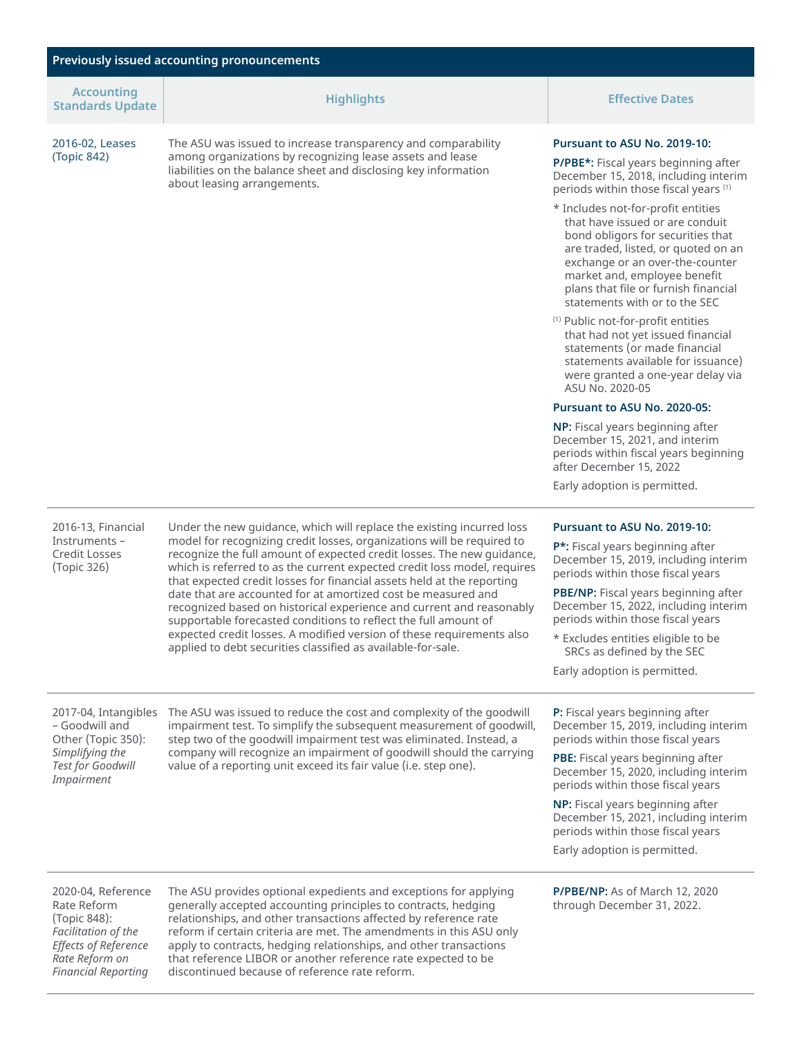| <b>Previously issued accounting pronouncements</b>                                                                 |                                                                                                                                                                                                                                                                                                                                                                                                                                                                                                                                                                                                                                                                                                                                      |                                                                                                                                                                                                                                                                                               |  |  |
|--------------------------------------------------------------------------------------------------------------------|--------------------------------------------------------------------------------------------------------------------------------------------------------------------------------------------------------------------------------------------------------------------------------------------------------------------------------------------------------------------------------------------------------------------------------------------------------------------------------------------------------------------------------------------------------------------------------------------------------------------------------------------------------------------------------------------------------------------------------------|-----------------------------------------------------------------------------------------------------------------------------------------------------------------------------------------------------------------------------------------------------------------------------------------------|--|--|
| <b>Accounting</b><br><b>Standards Update</b>                                                                       | <b>Highlights</b>                                                                                                                                                                                                                                                                                                                                                                                                                                                                                                                                                                                                                                                                                                                    | <b>Effective Dates</b>                                                                                                                                                                                                                                                                        |  |  |
| 2016-02, Leases                                                                                                    | The ASU was issued to increase transparency and comparability<br>among organizations by recognizing lease assets and lease<br>liabilities on the balance sheet and disclosing key information<br>about leasing arrangements.                                                                                                                                                                                                                                                                                                                                                                                                                                                                                                         | Pursuant to ASU No. 2019-10:                                                                                                                                                                                                                                                                  |  |  |
| (Topic 842)                                                                                                        |                                                                                                                                                                                                                                                                                                                                                                                                                                                                                                                                                                                                                                                                                                                                      | P/PBE*: Fiscal years beginning after<br>December 15, 2018, including interim<br>periods within those fiscal years (1)                                                                                                                                                                         |  |  |
|                                                                                                                    |                                                                                                                                                                                                                                                                                                                                                                                                                                                                                                                                                                                                                                                                                                                                      | * Includes not-for-profit entities<br>that have issued or are conduit<br>bond obligors for securities that<br>are traded, listed, or quoted on an<br>exchange or an over-the-counter<br>market and, employee benefit<br>plans that file or furnish financial<br>statements with or to the SEC |  |  |
|                                                                                                                    |                                                                                                                                                                                                                                                                                                                                                                                                                                                                                                                                                                                                                                                                                                                                      | <sup>(1)</sup> Public not-for-profit entities<br>that had not yet issued financial<br>statements (or made financial<br>statements available for issuance)<br>were granted a one-year delay via<br>ASU No. 2020-05                                                                             |  |  |
|                                                                                                                    |                                                                                                                                                                                                                                                                                                                                                                                                                                                                                                                                                                                                                                                                                                                                      | Pursuant to ASU No. 2020-05:                                                                                                                                                                                                                                                                  |  |  |
|                                                                                                                    |                                                                                                                                                                                                                                                                                                                                                                                                                                                                                                                                                                                                                                                                                                                                      | NP: Fiscal years beginning after<br>December 15, 2021, and interim<br>periods within fiscal years beginning<br>after December 15, 2022                                                                                                                                                        |  |  |
|                                                                                                                    |                                                                                                                                                                                                                                                                                                                                                                                                                                                                                                                                                                                                                                                                                                                                      | Early adoption is permitted.                                                                                                                                                                                                                                                                  |  |  |
| 2016-13, Financial                                                                                                 | Under the new guidance, which will replace the existing incurred loss<br>model for recognizing credit losses, organizations will be required to<br>recognize the full amount of expected credit losses. The new guidance,<br>which is referred to as the current expected credit loss model, requires<br>that expected credit losses for financial assets held at the reporting<br>date that are accounted for at amortized cost be measured and<br>recognized based on historical experience and current and reasonably<br>supportable forecasted conditions to reflect the full amount of<br>expected credit losses. A modified version of these requirements also<br>applied to debt securities classified as available-for-sale. | Pursuant to ASU No. 2019-10:                                                                                                                                                                                                                                                                  |  |  |
| Instruments -<br>Credit Losses<br>(Topic 326)                                                                      |                                                                                                                                                                                                                                                                                                                                                                                                                                                                                                                                                                                                                                                                                                                                      | P*: Fiscal years beginning after<br>December 15, 2019, including interim<br>periods within those fiscal years                                                                                                                                                                                 |  |  |
|                                                                                                                    |                                                                                                                                                                                                                                                                                                                                                                                                                                                                                                                                                                                                                                                                                                                                      | PBE/NP: Fiscal years beginning after<br>December 15, 2022, including interim<br>periods within those fiscal years                                                                                                                                                                             |  |  |
|                                                                                                                    |                                                                                                                                                                                                                                                                                                                                                                                                                                                                                                                                                                                                                                                                                                                                      | * Excludes entities eligible to be<br>SRCs as defined by the SEC                                                                                                                                                                                                                              |  |  |
|                                                                                                                    |                                                                                                                                                                                                                                                                                                                                                                                                                                                                                                                                                                                                                                                                                                                                      | Early adoption is permitted.                                                                                                                                                                                                                                                                  |  |  |
| 2017-04, Intangibles<br>- Goodwill and<br>Other (Topic 350):<br>Simplifying the<br>Test for Goodwill<br>Impairment | The ASU was issued to reduce the cost and complexity of the goodwill<br>impairment test. To simplify the subsequent measurement of goodwill,<br>step two of the goodwill impairment test was eliminated. Instead, a<br>company will recognize an impairment of goodwill should the carrying<br>value of a reporting unit exceed its fair value (i.e. step one).                                                                                                                                                                                                                                                                                                                                                                      | P: Fiscal years beginning after<br>December 15, 2019, including interim<br>periods within those fiscal years                                                                                                                                                                                  |  |  |
|                                                                                                                    |                                                                                                                                                                                                                                                                                                                                                                                                                                                                                                                                                                                                                                                                                                                                      | PBE: Fiscal years beginning after<br>December 15, 2020, including interim<br>periods within those fiscal years                                                                                                                                                                                |  |  |
|                                                                                                                    |                                                                                                                                                                                                                                                                                                                                                                                                                                                                                                                                                                                                                                                                                                                                      | NP: Fiscal years beginning after<br>December 15, 2021, including interim<br>periods within those fiscal years                                                                                                                                                                                 |  |  |
|                                                                                                                    |                                                                                                                                                                                                                                                                                                                                                                                                                                                                                                                                                                                                                                                                                                                                      | Early adoption is permitted.                                                                                                                                                                                                                                                                  |  |  |
| 2020-04, Reference                                                                                                 | The ASU provides optional expedients and exceptions for applying                                                                                                                                                                                                                                                                                                                                                                                                                                                                                                                                                                                                                                                                     | P/PBE/NP: As of March 12, 2020                                                                                                                                                                                                                                                                |  |  |

Rate Reform (Topic 848): *Facilitation of the Effects of Reference Rate Reform on Financial Reporting*

The ASU provides optional expedients and exceptions for applying generally accepted accounting principles to contracts, hedging relationships, and other transactions affected by reference rate reform if certain criteria are met. The amendments in this ASU only apply to contracts, hedging relationships, and other transactions that reference LIBOR or another reference rate expected to be discontinued because of reference rate reform.

**P/PBE/NP:** As of March 12, 2020 through December 31, 2022.